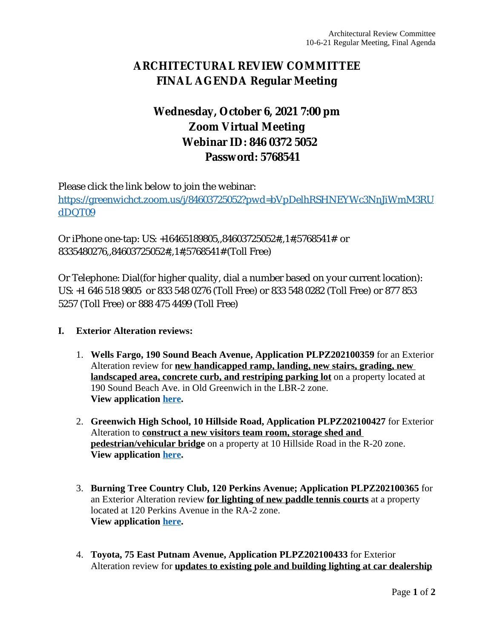## **ARCHITECTURAL REVIEW COMMITTEE FINAL AGENDA Regular Meeting**

## **Wednesday, October 6, 2021 7:00 pm Zoom Virtual Meeting Webinar ID: 846 0372 5052 Password: 5768541**

Please click the link below to join the webinar: [https://greenwichct.zoom.us/j/84603725052?pwd=bVpDelhRSHNEYWc3NnJiWmM3RU](https://greenwichct.zoom.us/j/84603725052?pwd=bVpDelhRSHNEYWc3NnJiWmM3RUdDQT09) dDQT09

Or iPhone one-tap: US: +16465189805,,84603725052#,,1#,5768541# or 8335480276,,84603725052#,,1#,5768541# (Toll Free)

Or Telephone: Dial(for higher quality, dial a number based on your current location): US: +1 646 518 9805 or 833 548 0276 (Toll Free) or 833 548 0282 (Toll Free) or 877 853 5257 (Toll Free) or 888 475 4499 (Toll Free)

## **I. Exterior Alteration reviews:**

- 1. **Wells Fargo, 190 Sound Beach Avenue, Application PLPZ202100359** for an Exterior Alteration review for **new handicapped ramp, landing, new stairs, grading, new landscaped area, concrete curb, and restriping parking lot** on a property located at 190 Sound Beach Ave. in Old Greenwich in the LBR-2 zone. **View application [here](https://www.greenwichct.gov/DocumentCenter/View/24366/PLPZ202100359-190-SBA-Wells-Fargo).**
- 2. **Greenwich High School, 10 Hillside Road, Application PLPZ202100427** for Exterior Alteration to **construct a new visitors team room, storage shed and pedestrian/vehicular bridge** on a property at 10 Hillside Road in the R-20 zone. **View application [here](https://www.greenwichct.gov/DocumentCenter/View/24990/GHS-10-Hillside-PLPZ202100427).**
- 3. **Burning Tree Country Club, 120 Perkins Avenue; Application PLPZ202100365** for an Exterior Alteration review **for lighting of new paddle tennis courts** at a property located at 120 Perkins Avenue in the RA-2 zone. **View application [here](https://www.greenwichct.gov/DocumentCenter/View/24684/BTCC-120-Perkins-Ave-lighting-202100365).**
- 4. **Toyota, 75 East Putnam Avenue, Application PLPZ202100433** for Exterior Alteration review for **updates to existing pole and building lighting at car dealership**